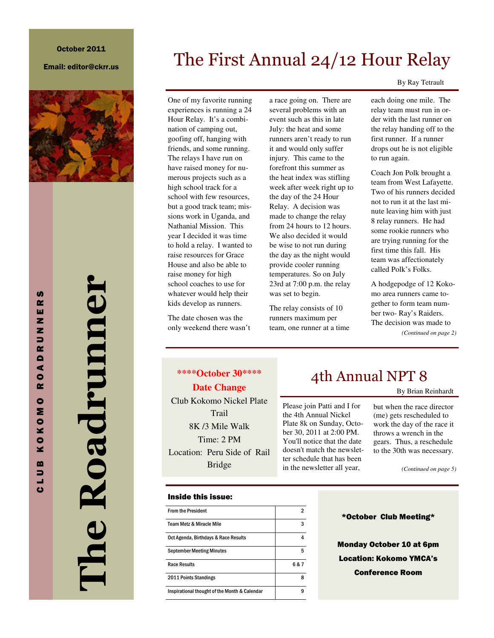#### Email: editor@ckrr.us



The Roadrunner l'he Roadrumner

One of my favorite running experiences is running a 24 Hour Relay. It's a combination of camping out, goofing off, hanging with friends, and some running. The relays I have run on have raised money for numerous projects such as a high school track for a school with few resources, but a good track team; missions work in Uganda, and Nathanial Mission. This year I decided it was time to hold a relay. I wanted to raise resources for Grace House and also be able to raise money for high school coaches to use for whatever would help their kids develop as runners.

The date chosen was the only weekend there wasn't a race going on. There are several problems with an event such as this in late July: the heat and some runners aren't ready to run it and would only suffer injury. This came to the forefront this summer as the heat index was stifling week after week right up to the day of the 24 Hour Relay. A decision was made to change the relay from 24 hours to 12 hours. We also decided it would be wise to not run during the day as the night would provide cooler running temperatures. So on July 23rd at 7:00 p.m. the relay was set to begin.

The First Annual 24/12 Hour Relay

The relay consists of 10 runners maximum per team, one runner at a time

> Please join Patti and I for the 4th Annual Nickel Plate 8k on Sunday, October 30, 2011 at 2:00 PM. You'll notice that the date doesn't match the newsletter schedule that has been in the newsletter all year,

By Ray Tetrault

each doing one mile. The relay team must run in order with the last runner on the relay handing off to the first runner. If a runner drops out he is not eligible to run again.

Coach Jon Polk brought a team from West Lafayette. Two of his runners decided not to run it at the last minute leaving him with just 8 relay runners. He had some rookie runners who are trying running for the first time this fall. His team was affectionately called Polk's Folks.

A hodgepodge of 12 Kokomo area runners came together to form team number two- Ray's Raiders. The decision was made to *(Continued on page 2)* 

**\*\*\*\*October 30\*\*\*\* Date Change**  Club Kokomo Nickel Plate **Trail** 8K /3 Mile Walk Time: 2 PM Location: Peru Side of Rail Bridge

### Inside this issue:

| <b>From the President</b>                     |     |
|-----------------------------------------------|-----|
| <b>Team Metz &amp; Miracle Mile</b>           | 3   |
| Oct Agenda, Birthdays & Race Results          |     |
| <b>September Meeting Minutes</b>              | 5   |
| <b>Race Results</b>                           | 6&7 |
| 2011 Points Standings                         | 8   |
| Inspirational thought of the Month & Calendar | 9   |

### 4th Annual NPT 8

By Brian Reinhardt

but when the race director (me) gets rescheduled to work the day of the race it throws a wrench in the gears. Thus, a reschedule to the 30th was necessary.

*(Continued on page 5)* 

#### \*October Club Meeting\*

Monday October 10 at 6pm Location: Kokomo YMCA's Conference Room

C L U B K O K O M O R O A D R U N N E R S **S**  $\mathbf{r}$ ш z z  $\Rightarrow$ œ  $\blacksquare$  $\blacktriangleleft$  $\bullet$  $\sim$  $\bullet$ Σ  $\bullet$ ×  $\bullet$ ¥  $\mathbf{m}$  $\Rightarrow$ цf,  $\mathbf{c}$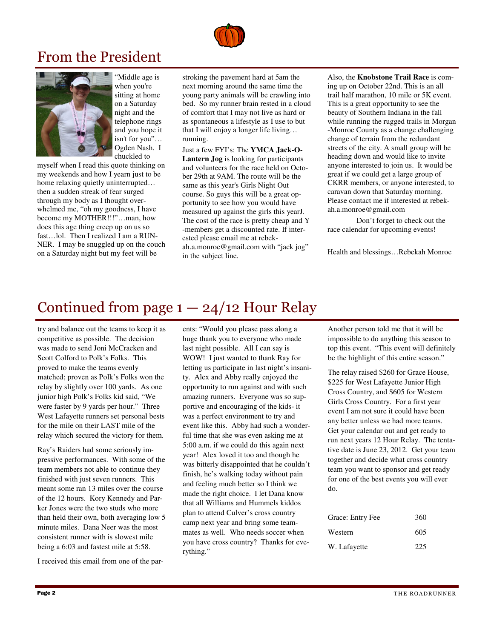

## From the President



"Middle age is when you're sitting at home on a Saturday night and the telephone rings and you hope it isn't for you"… Ogden Nash. I chuckled to

myself when I read this quote thinking on my weekends and how I yearn just to be home relaxing quietly uninterrupted… then a sudden streak of fear surged through my body as I thought overwhelmed me, "oh my goodness, I have become my MOTHER!!!"…man, how does this age thing creep up on us so fast…lol. Then I realized I am a RUN-NER. I may be snuggled up on the couch on a Saturday night but my feet will be

stroking the pavement hard at 5am the next morning around the same time the young party animals will be crawling into bed. So my runner brain rested in a cloud of comfort that I may not live as hard or as spontaneous a lifestyle as I use to but that I will enjoy a longer life living… running.

Just a few FYI's: The **YMCA Jack-O-Lantern Jog** is looking for participants and volunteers for the race held on October 29th at 9AM. The route will be the same as this year's Girls Night Out course. So guys this will be a great opportunity to see how you would have measured up against the girls this yearJ. The cost of the race is pretty cheap and Y -members get a discounted rate. If interested please email me at rebekah.a.monroe@gmail.com with "jack jog" in the subject line.

Also, the **Knobstone Trail Race** is coming up on October 22nd. This is an all trail half marathon, 10 mile or 5K event. This is a great opportunity to see the beauty of Southern Indiana in the fall while running the rugged trails in Morgan -Monroe County as a change challenging change of terrain from the redundant streets of the city. A small group will be heading down and would like to invite anyone interested to join us. It would be great if we could get a large group of CKRR members, or anyone interested, to caravan down that Saturday morning. Please contact me if interested at rebekah.a.monroe@gmail.com

 Don't forget to check out the race calendar for upcoming events!

Health and blessings…Rebekah Monroe

## Continued from page  $1 - 24/12$  Hour Relay

try and balance out the teams to keep it as competitive as possible. The decision was made to send Joni McCracken and Scott Colford to Polk's Folks. This proved to make the teams evenly matched; proven as Polk's Folks won the relay by slightly over 100 yards. As one junior high Polk's Folks kid said, "We were faster by 9 yards per hour." Three West Lafayette runners set personal bests for the mile on their LAST mile of the relay which secured the victory for them.

Ray's Raiders had some seriously impressive performances. With some of the team members not able to continue they finished with just seven runners. This meant some ran 13 miles over the course of the 12 hours. Kory Kennedy and Parker Jones were the two studs who more than held their own, both averaging low 5 minute miles. Dana Neer was the most consistent runner with is slowest mile being a 6:03 and fastest mile at 5:58.

I received this email from one of the par-

ents: "Would you please pass along a huge thank you to everyone who made last night possible. All I can say is WOW! I just wanted to thank Ray for letting us participate in last night's insanity. Alex and Abby really enjoyed the opportunity to run against and with such amazing runners. Everyone was so supportive and encouraging of the kids- it was a perfect environment to try and event like this. Abby had such a wonderful time that she was even asking me at 5:00 a.m. if we could do this again next year! Alex loved it too and though he was bitterly disappointed that he couldn't finish, he's walking today without pain and feeling much better so I think we made the right choice. I let Dana know that all Williams and Hummels kiddos plan to attend Culver's cross country camp next year and bring some teammates as well. Who needs soccer when you have cross country? Thanks for everything."

Another person told me that it will be impossible to do anything this season to top this event. "This event will definitely be the highlight of this entire season."

The relay raised \$260 for Grace House, \$225 for West Lafayette Junior High Cross Country, and \$605 for Western Girls Cross Country. For a first year event I am not sure it could have been any better unless we had more teams. Get your calendar out and get ready to run next years 12 Hour Relay. The tentative date is June 23, 2012. Get your team together and decide what cross country team you want to sponsor and get ready for one of the best events you will ever do.

| Grace: Entry Fee | 360 |
|------------------|-----|
| Western          | 605 |
| W. Lafayette     | 225 |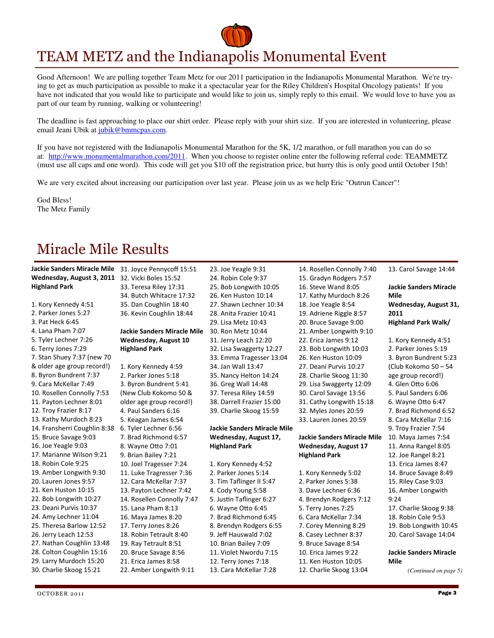# TEAM METZ and the Indianapolis Monumental Event

Good Afternoon! We are pulling together Team Metz for our 2011 participation in the Indianapolis Monumental Marathon. We're trying to get as much participation as possible to make it a spectacular year for the Riley Children's Hospital Oncology patients! If you have not indicated that you would like to participate and would like to join us, simply reply to this email. We would love to have you as part of our team by running, walking or volunteering!

The deadline is fast approaching to place our shirt order. Please reply with your shirt size. If you are interested in volunteering, please email Jeani Ubik at jubik@bmmcpas.com.

If you have not registered with the Indianapolis Monumental Marathon for the 5K, 1/2 marathon, or full marathon you can do so at: http://www.monumentalmarathon.com/2011. When you choose to register online enter the following referral code: TEAMMETZ (must use all caps and one word). This code will get you \$10 off the registration price, but hurry this is only good until October 15th!

We are very excited about increasing our participation over last year. Please join us as we help Eric "Outrun Cancer"!

God Bless! The Metz Family

# Miracle Mile Results

| <b>Jackie Sanders Miracle Mile</b><br>Wednesday, August 3, 2011 | 31. Joyce Pennycoff 15:51<br>32. Vicki Boles 15:52 | 23. Joe Yeagle 9:31<br>24. Robin Cole 9:37 | 14. Rosellen Connolly 7:40<br>15. Gradyn Rodgers 7:57 | 13. Carol Savage 14:44        |
|-----------------------------------------------------------------|----------------------------------------------------|--------------------------------------------|-------------------------------------------------------|-------------------------------|
| <b>Highland Park</b>                                            | 33. Teresa Riley 17:31                             | 25. Bob Longwith 10:05                     | 16. Steve Wand 8:05                                   | <b>Jackie Sanders Miracle</b> |
|                                                                 | 34. Butch Whitacre 17:32                           | 26. Ken Huston 10:14                       | 17. Kathy Murdoch 8:26                                | Mile                          |
| 1. Kory Kennedy 4:51                                            | 35. Dan Coughlin 18:40                             | 27. Shawn Lechner 10:34                    | 18. Joe Yeagle 8:54                                   | Wednesday, August 31,         |
| 2. Parker Jones 5:27                                            | 36. Kevin Coughlin 18:44                           | 28. Anita Frazier 10:41                    | 19. Adriene Riggle 8:57                               | 2011                          |
| 3. Pat Heck 6:45                                                |                                                    | 29. Lisa Metz 10:43                        | 20. Bruce Savage 9:00                                 | <b>Highland Park Walk/</b>    |
| 4. Lana Pham 7:07                                               | <b>Jackie Sanders Miracle Mile</b>                 | 30. Ron Metz 10:44                         | 21. Amber Longwith 9:10                               |                               |
| 5. Tyler Lechner 7:26                                           |                                                    |                                            | 22. Erica James 9:12                                  |                               |
|                                                                 | Wednesday, August 10                               | 31. Jerry Leach 12:20                      |                                                       | 1. Kory Kennedy 4:51          |
| 6. Terry Jones 7:29                                             | <b>Highland Park</b>                               | 32. Lisa Swaggerty 12:27                   | 23. Bob Longwith 10:03                                | 2. Parker Jones 5:19          |
| 7. Stan Shuey 7:37 (new 70                                      |                                                    | 33. Emma Tragesser 13:04                   | 26. Ken Huston 10:09                                  | 3. Byron Bundrent 5:23        |
| & older age group record!)                                      | 1. Kory Kennedy 4:59                               | 34. Jan Wall 13:47                         | 27. Deani Purvis 10:27                                | (Club Kokomo 50 - 54          |
| 8. Byron Bundrent 7:37                                          | 2. Parker Jones 5:18                               | 35. Nancy Helton 14:24                     | 28. Charlie Skoog 11:30                               | age group record!)            |
| 9. Cara McKellar 7:49                                           | 3. Byron Bundrent 5:41                             | 36. Greg Wall 14:48                        | 29. Lisa Swaggerty 12:09                              | 4. Glen Otto 6:06             |
| 10. Rosellen Connolly 7:53                                      | (New Club Kokomo 50 &                              | 37. Teresa Riley 14:59                     | 30. Carol Savage 13:56                                | 5. Paul Sanders 6:06          |
| 11. Payton Lechner 8:01                                         | older age group record!)                           | 38. Darrell Frazier 15:00                  | 31. Cathy Longwith 15:18                              | 6. Wayne Otto 6:47            |
| 12. Troy Frazier 8:17                                           | 4. Paul Sanders 6:16                               | 39. Charlie Skoog 15:59                    | 32. Myles Jones 20:59                                 | 7. Brad Richmond 6:52         |
| 13. Kathy Murdoch 8:23                                          | 5. Keagan James 6:54                               |                                            | 33. Lauren Jones 20:59                                | 8. Cara McKellar 7:16         |
| 14. Fransherri Coughlin 8:38                                    | 6. Tyler Lechner 6:56                              | <b>Jackie Sanders Miracle Mile</b>         |                                                       | 9. Troy Frazier 7:54          |
| 15. Bruce Savage 9:03                                           | 7. Brad Richmond 6:57                              | Wednesday, August 17,                      | <b>Jackie Sanders Miracle Mile</b>                    | 10. Maya James 7:54           |
| 16. Joe Yeagle 9:03                                             | 8. Wayne Otto 7:01                                 | <b>Highland Park</b>                       | <b>Wednesday, August 17</b>                           | 11. Anna Rangel 8:05          |
| 17. Marianne Wilson 9:21                                        | 9. Brian Bailey 7:21                               |                                            | <b>Highland Park</b>                                  | 12. Joe Rangel 8:21           |
| 18. Robin Cole 9:25                                             | 10. Joel Tragesser 7:24                            | 1. Kory Kennedy 4:52                       |                                                       | 13. Erica James 8:47          |
| 19. Amber Longwith 9:30                                         | 11. Luke Tragresser 7:36                           | 2. Parker Jones 5:14                       | 1. Kory Kennedy 5:02                                  | 14. Bruce Savage 8:49         |
| 20. Lauren Jones 9:57                                           | 12. Cara McKellar 7:37                             | 3. Tim Taflinger II 5:47                   | 2. Parker Jones 5:38                                  | 15. Riley Case 9:03           |
| 21. Ken Huston 10:15                                            | 13. Payton Lechner 7:42                            | 4. Cody Young 5:58                         | 3. Dave Lechner 6:36                                  | 16. Amber Longwith            |
| 22. Bob Longwith 10:27                                          | 14. Rosellen Connolly 7:47                         | 5. Justin Taflinger 6:27                   | 4. Brendyn Rodgers 7:12                               | 9:24                          |
| 23. Deani Purvis 10:37                                          | 15. Lana Pham 8:13                                 | 6. Wayne Otto 6:45                         | 5. Terry Jones 7:25                                   | 17. Charlie Skoog 9:38        |
| 24. Amy Lechner 11:04                                           | 16. Maya James 8:20                                | 7. Brad Richmond 6:45                      | 6. Cara McKellar 7:34                                 | 18. Robin Cole 9:53           |
| 25. Theresa Barlow 12:52                                        | 17. Terry Jones 8:26                               | 8. Brendyn Rodgers 6:55                    | 7. Corey Menning 8:29                                 | 19. Bob Longwith 10:45        |
| 26. Jerry Leach 12:53                                           | 18. Robin Tetrault 8:40                            | 9. Jeff Hauswald 7:02                      | 8. Casey Lechner 8:37                                 | 20. Carol Savage 14:04        |
| 27. Nathan Coughlin 13:48                                       | 19. Ray Tetrault 8:51                              | 10. Brian Bailey 7:09                      | 9. Bruce Savage 8:54                                  |                               |
| 28. Colton Coughlin 15:16                                       | 20. Bruce Savage 8:56                              | 11. Violet Nwordu 7:15                     | 10. Erica James 9:22                                  | <b>Jackie Sanders Miracle</b> |
| 29. Larry Murdoch 15:20                                         | 21. Erica James 8:58                               | 12. Terry Jones 7:18                       | 11. Ken Huston 10:05                                  | Mile                          |
| 30. Charlie Skoog 15:21                                         | 22. Amber Longwith 9:11                            | 13. Cara McKellar 7:28                     | 12. Charlie Skoog 13:04                               | (Continued on page 5)         |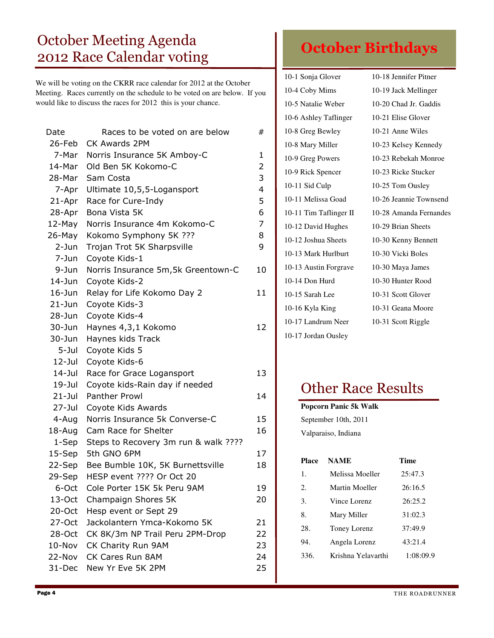# October Meeting Agenda 2012 Race Calendar voting

We will be voting on the CKRR race calendar for 2012 at the October Meeting. Races currently on the schedule to be voted on are below. If you would like to discuss the races for 2012 this is your chance.

| Races to be voted on are below   | #                                                                                                                                       |
|----------------------------------|-----------------------------------------------------------------------------------------------------------------------------------------|
| 26-Feb<br><b>CK Awards 2PM</b>   |                                                                                                                                         |
| Norris Insurance 5K Amboy-C      | 1                                                                                                                                       |
| Old Ben 5K Kokomo-C              | 2                                                                                                                                       |
| Sam Costa                        | 3                                                                                                                                       |
| Ultimate 10,5,5-Logansport       | $\overline{4}$                                                                                                                          |
| Race for Cure-Indy               | 5                                                                                                                                       |
| Bona Vista 5K                    | 6                                                                                                                                       |
| Norris Insurance 4m Kokomo-C     | 7                                                                                                                                       |
| Kokomo Symphony 5K ???           | 8                                                                                                                                       |
| Trojan Trot 5K Sharpsville       | 9                                                                                                                                       |
| Coyote Kids-1                    |                                                                                                                                         |
|                                  | 10                                                                                                                                      |
| Coyote Kids-2                    |                                                                                                                                         |
| Relay for Life Kokomo Day 2      | 11                                                                                                                                      |
| Coyote Kids-3                    |                                                                                                                                         |
| Coyote Kids-4                    |                                                                                                                                         |
| Haynes 4,3,1 Kokomo              | 12                                                                                                                                      |
| Haynes kids Track                |                                                                                                                                         |
| Coyote Kids 5                    |                                                                                                                                         |
| Coyote Kids-6                    |                                                                                                                                         |
| Race for Grace Logansport        | 13                                                                                                                                      |
| Coyote kids-Rain day if needed   |                                                                                                                                         |
| <b>Panther Prowl</b>             | 14                                                                                                                                      |
| Coyote Kids Awards               |                                                                                                                                         |
| Norris Insurance 5k Converse-C   | 15                                                                                                                                      |
| Cam Race for Shelter             | 16                                                                                                                                      |
|                                  |                                                                                                                                         |
| 5th GNO 6PM                      | 17                                                                                                                                      |
| Bee Bumble 10K, 5K Burnettsville | 18                                                                                                                                      |
| HESP event ???? Or Oct 20        |                                                                                                                                         |
| Cole Porter 15K 5k Peru 9AM      | 19                                                                                                                                      |
| Champaign Shores 5K              | 20                                                                                                                                      |
|                                  |                                                                                                                                         |
| Jackolantern Ymca-Kokomo 5K      | 21                                                                                                                                      |
|                                  | 22                                                                                                                                      |
| CK Charity Run 9AM               | 23                                                                                                                                      |
| CK Cares Run 8AM                 | 24                                                                                                                                      |
| New Yr Eve 5K 2PM                | 25                                                                                                                                      |
|                                  | Norris Insurance 5m, 5k Greentown-C<br>Steps to Recovery 3m run & walk ????<br>Hesp event or Sept 29<br>CK 8K/3m NP Trail Peru 2PM-Drop |

# October Birthdays

| 10-1 Sonja Glover      | 10-18 Jennifer Pitner  |
|------------------------|------------------------|
| 10-4 Coby Mims         | 10-19 Jack Mellinger   |
| 10-5 Natalie Weber     | 10-20 Chad Jr. Gaddis  |
| 10-6 Ashley Taflinger  | 10-21 Elise Glover     |
| 10-8 Greg Bewley       | 10-21 Anne Wiles       |
| 10-8 Mary Miller       | 10-23 Kelsey Kennedy   |
| 10-9 Greg Powers       | 10-23 Rebekah Monroe   |
| 10-9 Rick Spencer      | 10-23 Ricke Stucker    |
| 10-11 Sid Culp         | 10-25 Tom Ousley       |
| 10-11 Melissa Goad     | 10-26 Jeannie Townsend |
| 10-11 Tim Taflinger II | 10-28 Amanda Fernandes |
| 10-12 David Hughes     | 10-29 Brian Sheets     |
| 10-12 Joshua Sheets    | 10-30 Kenny Bennett    |
| 10-13 Mark Hurlburt    | 10-30 Vicki Boles      |
| 10-13 Austin Forgrave  | 10-30 Maya James       |
| 10-14 Don Hurd         | 10-30 Hunter Rood      |
| 10-15 Sarah Lee        | 10-31 Scott Glover     |
| 10-16 Kyla King        | 10-31 Geana Moore      |
| 10-17 Landrum Neer     | 10-31 Scott Riggle     |
| 10-17 Jordan Ousley    |                        |

# Other Race Results

**Popcorn Panic 5k Walk** 

| September 10th, 2011<br>Valparaiso, Indiana |                    |           |  |
|---------------------------------------------|--------------------|-----------|--|
| <b>Place</b>                                | <b>NAME</b>        | Time      |  |
| 1.                                          | Melissa Moeller    | 25:47.3   |  |
| $2_{\cdot}$                                 | Martin Moeller     | 26:16.5   |  |
| 3.                                          | Vince Lorenz       | 26:25.2   |  |
| 8.                                          | Mary Miller        | 31:02.3   |  |
| 28.                                         | Toney Lorenz       | 37:49.9   |  |
| 94.                                         | Angela Lorenz      | 43:21.4   |  |
| 336.                                        | Krishna Yelavarthi | 1:08:09.9 |  |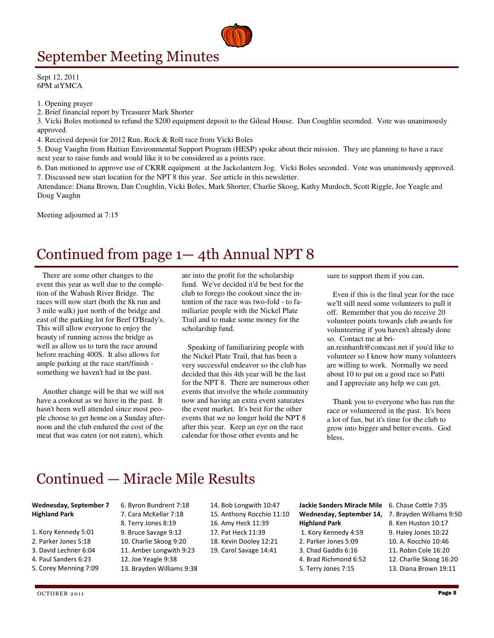# September Meeting Minutes

Sept 12, 2011 6PM atYMCA

1. Opening prayer

2. Brief financial report by Treasurer Mark Shorter

3. Vicki Boles motioned to refund the \$200 equipment deposit to the Gilead House. Dan Coughlin seconded. Vote was unanimously approved.

4. Received deposit for 2012 Run, Rock & Roll race from Vicki Boles

5. Doug Vaughn from Haitian Environmental Support Program (HESP) spoke about their mission. They are planning to have a race next year to raise funds and would like it to be considered as a points race.

6. Dan motioned to approve use of CKRR equipment at the Jackolantern Jog. Vicki Boles seconded. Vote was unanimously approved. 7. Discussed new start location for the NPT 8 this year. See article in this newsletter.

Attendance: Diana Brown, Dan Coughlin, Vicki Boles, Mark Shorter, Charlie Skoog, Kathy Murdoch, Scott Riggle, Joe Yeagle and Doug Vaughn

Meeting adjourned at 7:15

## Continued from page 1— 4th Annual NPT 8

 There are some other changes to the event this year as well due to the completion of the Wabash River Bridge. The races will now start (both the 8k run and 3 mile walk) just north of the bridge and east of the parking lot for Beef O'Brady's. This will allow everyone to enjoy the beauty of running across the bridge as well as allow us to turn the race around before reaching 400S. It also allows for ample parking at the race start/finish something we haven't had in the past.

 Another change will be that we will not have a cookout as we have in the past. It hasn't been well attended since most people choose to get home on a Sunday afternoon and the club endured the cost of the meat that was eaten (or not eaten), which

ate into the profit for the scholarship fund. We've decided it'd be best for the club to forego the cookout since the intention of the race was two-fold - to familiarize people with the Nickel Plate Trail and to make some money for the scholarship fund.

 Speaking of familiarizing people with the Nickel Plate Trail, that has been a very successful endeavor so the club has decided that this 4th year will be the last for the NPT 8. There are numerous other events that involve the whole community now and having an extra event saturates the event market. It's best for the other events that we no longer hold the NPT 8 after this year. Keep an eye on the race calendar for those other events and be

sure to support them if you can.

 Even if this is the final year for the race we'll still need some volunteers to pull it off. Remember that you do receive 20 volunteer points towards club awards for volunteering if you haven't already done so. Contact me at bri-

an.reinhardt@comcast.net if you'd like to volunteer so I know how many volunteers are willing to work. Normally we need about 10 to put on a good race so Patti and I appreciate any help we can get.

 Thank you to everyone who has run the race or volunteered in the past. It's been a lot of fun, but it's time for the club to grow into bigger and better events. God bless.

## Continued — Miracle Mile Results

- Wednesday, September 7 Highland Park
- 1. Kory Kennedy 5:01
- 2. Parker Jones 5:18
- 3. David Lechner 6:04
- 4. Paul Sanders 6:23
- 5. Corey Menning 7:09

7. Cara McKellar 7:18 8. Terry Jones 8:19 9. Bruce Savage 9:12 10. Charlie Skoog 9:20 11. Amber Longwith 9:23 12. Joe Yeagle 9:38 13. Brayden Williams 9:38

6. Byron Bundrent 7:18

14. Bob Longwith 10:47 15. Anthony Rocchio 11:10 16. Amy Heck 11:39 17. Pat Heck 11:39 18. Kevin Dooley 12:21 19. Carol Savage 14:41

#### Jackie Sanders Miracle Mile 6. Chase Cottle 7:35 Wednesday, September 14, Highland Park

1. Kory Kennedy 4:59 2. Parker Jones 5:09 3. Chad Gaddis 6:16 4. Brad Richmond 6:52 5. Terry Jones 7:15

- 
- 7. Brayden Williams 9:50
- 8. Ken Huston 10:17
- 9. Haley Jones 10:22
- 10. A. Rocchio 10:46
- 11. Robin Cole 16:20
- 12. Charlie Skoog 16:20
- 13. Diana Brown 19:11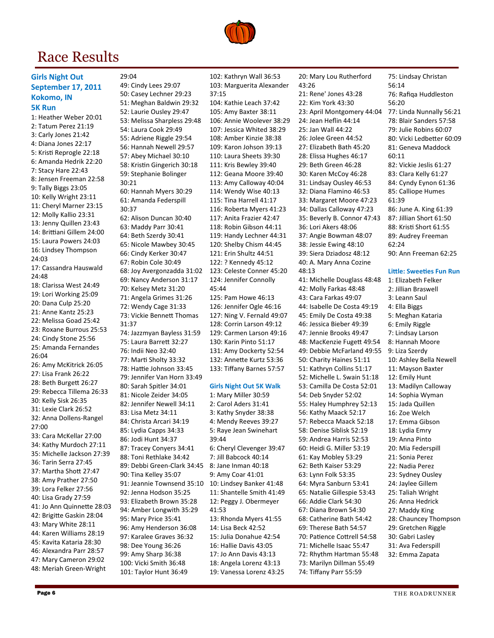# Race Results

29:04



1: Heather Weber 20:01 2: Tatum Perez 21:19 3: Carly Jones 21:42 4: Diana Jones 22:17 5: Kristi Reprogle 22:18 6: Amanda Hedrik 22:20 7: Stacy Hare 22:43 8: Jensen Freeman 22:58 9: Tally Biggs 23:05 10: Kelly Wright 23:11 11: Cheryl Marner 23:15 12: Molly Kallio 23:31 13: Jenny Quillen 23:43 14: Brittiani Gillem 24:00 15: Laura Powers 24:03 16: Lindsey Thompson 24:03 17: Cassandra Hauswald 24:48 18: Clarissa West 24:49 19: Lori Working 25:09 20: Dana Culp 25:20 21: Anne Kantz 25:23 22: Melissa Goad 25:42 23: Roxane Burrous 25:53 24: Cindy Stone 25:56 25: Amanda Fernandes 26:04 26: Amy McKitrick 26:05 27: Lisa Frank 26:22 28: Beth Burgett 26:27 29: Rebecca Tillema 26:33 30: Kelly Sisk 26:35 31: Lexie Clark 26:52 32: Anna Dollens-Rangel 27:00 33: Cara McKellar 27:00 34: Kathy Murdoch 27:11 35: Michelle Jackson 27:39 36: Tarin Serra 27:45 37: Martha Shott 27:47 38: Amy Prather 27:50 39: Lora Felker 27:56 40: Lisa Grady 27:59 41: Jo Ann Quinnette 28:03 42: Brigitte Gaskin 28:04 43: Mary White 28:11 44: Karen Williams 28:19 45: Kavita Kataria 28:30 46: Alexandra Parr 28:57 47: Mary Cameron 29:02 48: Meriah Green-Wright

49: Cindy Lees 29:07 50: Casey Lechner 29:23 51: Meghan Baldwin 29:32 52: Laurie Ousley 29:47 53: Melissa Sharpless 29:48 54: Laura Cook 29:49 55: Adriene Riggle 29:54 56: Hannah Newell 29:57 57: Abey Michael 30:10 58: Kristin Gingerich 30:18 59: Stephanie Bolinger 30:21 60: Hannah Myers 30:29 61: Amanda Federspill 30:37 62: Alison Duncan 30:40 63: Maddy Parr 30:41 64: Beth Szerdy 30:41 65: Nicole Mawbey 30:45 66: Cindy Kerker 30:47 67: Robin Cole 30:49 68: Joy Avergonzadda 31:02 69: Nancy Anderson 31:17 70: Kelsey Metz 31:20 71: Angela Grimes 31:26 72: Wendy Cage 31:33 73: Vickie Bennett Thomas 31:37 74: Jazzmyan Bayless 31:59 75: Laura Barrett 32:27 76: Indii Neo 32:40 77: Marti Sholty 33:32 78: Hattie Johnson 33:45 79: Jennifer Van Horn 33:49 80: Sarah Spitler 34:01 81: Nicole Zeider 34:05 82: Jennifer Newell 34:11 83: Lisa Metz 34:11 84: Christa Arcari 34:19 85: Lydia Capps 34:33 86: Jodi Hunt 34:37 87: Tracey Conyers 34:41 88: Toni Rethlake 34:42 89: Debbi Green-Clark 34:45 90: Tina Kelley 35:07 91: Jeannie Townsend 35:10 92: Jenna Hodson 35:25 93: Elizabeth Brown 35:28 94: Amber Longwith 35:29 95: Mary Price 35:41 96: Amy Henderson 36:08 97: Karalee Graves 36:32 98: Dee Young 36:26 99: Amy Sharp 36:38 100: Vicki Smith 36:48 101: Taylor Hunt 36:49

104: Kathie Leach 37:42 105: Amy Baxter 38:11 106: Annie Woolever 38:29 107: Jessica Whited 38:29 108: Amber Kinzie 38:38 109: Karon Johson 39:13 110: Laura Sheets 39:30 111: Kris Bewley 39:40 112: Geana Moore 39:40 113: Amy Calloway 40:04 114: Wendy Wise 40:13 115: Tina Harrell 41:17 116: Roberta Myers 41:23 117: Anita Frazier 42:47 118: Robin Gibson 44:11 119: Handy Lechner 44:31 120: Shelby Chism 44:45 121: Erin Shultz 44:51 122: ? Kennedy 45:12 123: Celeste Conner 45:20 124: Jennifer Connolly 45:44 125: Pam Howe 46:13 126: Jennifer Ogle 46:16 127: Ning V. Fernald 49:07 128: Corrin Larson 49:12 129: Carmen Larson 49:16 130: Karin Pinto 51:17 131: Amy Dockerty 52:54 132: Annette Kurtz 53:36 133: Tiffany Barnes 57:57 Girls Night Out 5K Walk 1: Mary Miller 30:59 2: Carol Aders 31:41 3: Kathy Snyder 38:38 4: Mendy Reeves 39:27 5: Raye Jean Swinehart 39:44 6: Cheryl Clevenger 39:47 7: Jill Babcock 40:14 8: Jane Inman 40:18 9: Amy Coar 41:01 10: Lindsey Banker 41:48 11: Shantelle Smith 41:49 12: Peggy J. Obermeyer 41:53 13: Rhonda Myers 41:55 14: Lisa Beck 42:52 15: Julia Donahue 42:54 16: Hallie Davis 43:05 17: Jo Ann Davis 43:13 18: Angela Lorenz 43:13 19: Vanessa Lorenz 43:25

20: Mary Lou Rutherford 43:26 21: Rene' Jones 43:28 22: Kim York 43:30 23: April Montgomery 44:04 24: Jean Heflin 44:14 25: Jan Wall 44:22 26: Jolee Green 44:52 27: Elizabeth Bath 45:20 28: Elissa Hughes 46:17 29: Beth Green 46:28 30: Karen McCoy 46:28 31: Lindsay Ousley 46:53 32: Diana Flamino 46:53 33: Margaret Moore 47:23 34: Dallas Calloway 47:23 35: Beverly B. Connor 47:43 36: Lori Akers 48:06 37: Angie Bowman 48:07 38: Jessie Ewing 48:10 39: Siera Dziadosz 48:12 40: A. Mary Anna Cozine 48:13 41: Michelle Douglass 48:48 42: Molly Farkas 48:48 43: Cara Farkas 49:07 44: Isabelle De Costa 49:19 45: Emily De Costa 49:38 46: Jessica Bieber 49:39 47: Jennie Brooks 49:47 48: MacKenzie Fugett 49:54 49: Debbie McFarland 49:55 50: Charity Haines 51:11 51: Kathryn Collins 51:17 52: Michelle L. Swain 51:18 53: Camilla De Costa 52:01 54: Deb Snyder 52:02 55: Haley Humphrey 52:13 56: Kathy Maack 52:17 57: Rebecca Maack 52:18 58: Denise Siblisk 52:19 59: Andrea Harris 52:53 60: Heidi G. Miller 53:19 61: Kay Mobley 53:29 62: Beth Kaiser 53:29 63: Lynn Folk 53:35 64: Myra Sanburn 53:41 65: Natalie Gillespie 53:43 66: Addie Clark 54:30 67: Diana Brown 54:30 68: Catherine Bath 54:42 69: Therese Bath 54:57 70: Patience Cottrell 54:58 71: Michelle Isaac 55:47 72: Rhythm Hartman 55:48 73: Marilyn Dillman 55:49 74: Tiffany Parr 55:59

75: Lindsay Christan 56:14 76: Rafiqa Huddleston 56:20 77: Linda Nunnally 56:21 78: Blair Sanders 57:58 79: Julie Robins 60:07 80: Vicki Ledbetter 60:09 81: Geneva Maddock 60:11 82: Vickie Jeslis 61:27 83: Clara Kelly 61:27 84: Cyndy Eynon 61:36 85: Calliope Humes 61:39 86: June A. King 61:39 87: Jillian Short 61:50 88: Kristi Short 61:55 89: Audrey Freeman 62:24 90: Ann Freeman 62:25

#### Little: Sweeties Fun Run

1: Elizabeth Felker 2: Jillian Braswell 3: Leann Saul 4: Ella Biggs 5: Meghan Kataria 6: Emily Riggle 7: Lindsay Larson 8: Hannah Moore 9: Liza Szerdy 10: Ashley Bella Newell 11: Mayson Baxter 12: Emily Hunt 13: Madilyn Calloway 14: Sophia Wyman 15: Jada Quillen 16: Zoe Welch 17: Emma Gibson 18: Lydia Emry 19: Anna Pinto 20: Mia Federspill 21: Sonia Perez 22: Nadia Perez 23: Sydney Ousley 24: Jaylee Gillem 25: Taliah Wright 26: Anna Hedrick 27: Maddy King 28: Chauncey Thompson 29: Gretchen Riggle 30: Gabri Lasley 31: Ava Federspill 32: Emma Zapata



102: Kathryn Wall 36:53 103: Marguerita Alexander

37:15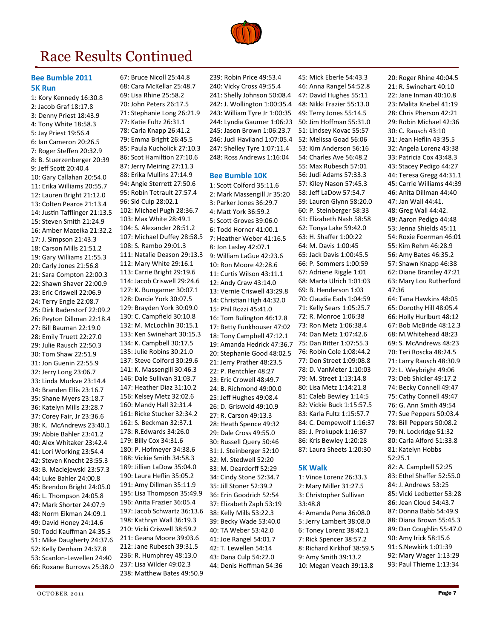

# Race Results Continued

#### Bee Bumble 2011 5K Run

1: Kory Kennedy 16:30.8 2: Jacob Graf 18:17.8 3: Denny Priest 18:43.9 4: Tony White 18:58.3 5: Jay Priest 19:56.4 6: Ian Cameron 20:26.5 7: Roger Steffen 20:32.9 8: B. Stuerzenberger 20:39 9: Jeff Scott 20:40.4 10: Gary Callahan 20:54.0 11: Erika Williams 20:55.7 12: Lauren Bright 21:12.0 13: Colten Pearce 21:13.4 14: Justin Tafflinger 21:13.5 15: Steven Smith 21:24.9 16: Amber Mazeika 21:32.2 17: J. Simpson 21:43.3 18: Carson Mills 21:51.2 19: Gary Williams 21:55.3 20: Carly Jones 21:56.8 21: Sara Compton 22:00.3 22: Shawn Shaver 22:00.9 23: Eric Criswell 22:06.9 24: Terry Engle 22:08.7 25: Dirk Raderstorf 22:09.2 26: Peyton Dillman 22:18.4 27: Bill Bauman 22:19.0 28: Emily Truett 22:27.0 29: Julie Rausch 22:50.3 30: Tom Shaw 22:51.9 31: Jon Guenin 22:55.9 32: Jerry Long 23:06.7 33: Linda Murkve 23:14.4 34: Branden Ellis 23:16.7 35: Shane Myers 23:18.7 36: Katelyn Mills 23:28.7 37: Corey Fair, Jr 23:36.6 38: K. McAndrews 23:40.1 39: Abbie Bahler 23:41.2 40: Alex Whitaker 23:42.4 41: Lori Working 23:54.4 42: Steven Knecht 23:55.3 43: B. Maciejewski 23:57.3 44: Luke Bahler 24:00.8 45: Brendon Bright 24:05.0 46: L. Thompson 24:05.8 47: Mark Shorter 24:07.9 48: Norm Eikman 24:09.1 49: David Honey 24:14.6 50: Todd Kauffman 24:35.5 51: Mike Daugherty 24:37.6 52: Kelly Denham 24:37.8 53: Scanlon-Lewellen 24:40 66: Roxane Burrows 25:38.0 67: Bruce Nicoll 25:44.8 68: Cara McKellar 25:48.7 69: Lisa Rhine 25:58.2 70: John Peters 26:17.5 71: Stephanie Long 26:21.9 77: Katie Fultz 26:31.1 78: Carla Knapp 26:41.2 79: Emma Bright 26:45.5 85: Paula Kucholick 27:10.3 86: Scot Hamiltion 27:10.6 87: Jerry Meiring 27:11.3 88: Erika Mullins 27:14.9 94: Angie Sterrett 27:50.6 95: Robin Tetrault 27:57.4 96: Sid Culp 28:02.1 102: Michael Pugh 28:36.7 103: Max White 28:49.1 104: S. Alexander 28:51.2 107: Michael Duffey 28:58.5 108: S. Rambo 29:01.3 111: Natalie Deason 29:13.3 112: Mary White 29:16.1 113: Carrie Bright 29:19.6 114: Jacob Criswell 29:24.6 127: K. Bumgarner 30:07.1 128: Darcie York 30:07.5 129: Brayden York 30:09.0 130: C. Campfield 30:10.8 132: M. McLochlin 30:15.1 133: Ken Swinehart 30:15.3 134: K. Campbell 30:17.5 135: Julie Robins 30:21.0 137: Steve Colford 30:29.6 141: K. Massengill 30:46.3 146: Dale Sullivan 31:03.7 147: Heather Diaz 31:10.2 156: Kelsey Metz 32:02.6 160: Mandy Hall 32:31.4 161: Ricke Stucker 32:34.2 162: S. Beckman 32:37.1 178: R.Edwards 34:26.0 179: Billy Cox 34:31.6 180: P. Hofmeyer 34:38.6 188: Vickie Smith 34:58.3 189: Jillian LaDow 35:04.0 190: Laura Heflin 35:05.2 191: Amy Dillman 35:11.9 195: Lisa Thompson 35:49.9 196: Anita Frazier 36:05.4 197: Jacob Schwartz 36:13.6 198: Kathryn Wall 36:19.3 210: Vicki Criswell 38:59.2 211: Geana Moore 39:03.6 212: Jane Rubesch 39:31.5 236: R. Humphrey 48:13.0 237: Lisa Wilder 49:02.3 238: Matthew Bates 49:50.9

239: Robin Price 49:53.4 240: Vicky Cross 49:55.4 241: Shelly Johnson 50:08.4 242: J. Wollington 1:00:35.4 243: William Tyre Jr 1:00:35 244: Lyndia Gaumer 1:06:23 245: Jason Brown 1:06:23.7 246: Judi Haviland 1:07:05.4 247: Shelley Tyre 1:07:11.4 248: Ross Andrews 1:16:04

#### Bee Bumble 10K

1: Scott Colford 35:11.6 2: Mark Massengill Jr 35:20 3: Parker Jones 36:29.7 4: Matt York 36:59.2 5: Scott Groves 39:06.0 6: Todd Horner 41:00.1 7: Heather Weber 41:16.5 8: Jon Lasley 42:07.1 9: William LaGue 42:23.6 10: Ron Moore 42:28.6 11: Curtis Wilson 43:11.1 12: Andy Craw 43:14.0 13: Vernie Criswell 43:29.8 14: Christian High 44:32.0 15: Phil Rozzi 45:41.0 16: Tom Bulington 46:12.8 17: Betty Funkhouser 47:02 18: Tony Campbell 47:12.1 19: Amanda Hedrick 47:36.7 20: Stephanie Good 48:02.5 21: Jerry Prather 48:23.5 22: P. Rentchler 48:27 23: Eric Crowell 48:49.7 24: B. Richmond 49:00.0 25: Jeff Hughes 49:08.4 26: D. Griswold 49:10.9 27: R. Carson 49:13.3 28: Heath Spence 49:32 29: Dale Cross 49:55.0 30: Russell Query 50:46 31: J. Steinberger 52:10 32: M. Stedwell 52:20 33: M. Deardorff 52:29 34: Cindy Stone 52:34.7 35: Jill Stoner 52:39.2 36: Erin Goodrich 52:54 37: Elizabeth Zaph 53:19 38: Kelly Mills 53:22.3 39: Becky Wade 53:40.0 40: TA Weber 53:42.0 41: Joe Rangel 54:01.7 42: T. Lewellen 54:14 43: Dana Culp 54:22.0 44: Denis Hoffman 54:36

45: Mick Eberle 54:43.3 46: Anna Rangel 54:52.8 47: David Hughes 55:11 48: Nikki Frazier 55:13.0 49: Terry Jones 55:14.5 50: Jim Hoffman 55:31.0 51: Lindsey Kovac 55:57 52: Melissa Goad 56:06 53: Kim Anderson 56:16 54: Charles Ave 56:48.2 55: Max Rubesch 57:01 56: Judi Adams 57:33.3 57: Kiley Nason 57:45.3 58: Jeff LaDow 57:54.7 59: Lauren Glynn 58:20.0 60: P. Steinberger 58:33 61: Elizabeth Nash 58:58 62: Tonya Lake 59:42.0 63: H. Shaffer 1:00:22 64: M. Davis 1:00:45 65: Jack Davis 1:00:45.5 66: P. Sommers 1:00:59 67: Adriene Riggle 1:01 68: Marta Ulrich 1:01:03 69: B. Henderson 1:03 70: Claudia Eads 1:04:59 71: Kelly Sears 1:05:25.7 72: R. Monroe 1:06:38 73: Ron Metz 1:06:38.4 74: Dan Metz 1:07:42.6 75: Dan Ritter 1:07:55.3 76: Robin Cole 1:08:44.2 77: Don Street 1:09:08.8 78: D. VanMeter 1:10:03 79: M. Street 1:13:14.8 80: Lisa Metz 1:14:21.8 81: Caleb Bewley 1:14:5 82: Vickie Buck 1:15:57.5 83: Karla Fultz 1:15:57.7 84: C. Dempewolf 1:16:37 85: J. Prokupek 1:16:37 86: Kris Bewley 1:20:28 87: Laura Sheets 1:20:30

#### 5K Walk

1: Vince Lorenz 26:33.3 2: Mary Miller 31:27.5 3: Christopher Sullivan 33:48.8 4: Amanda Pena 36:08.0 5: Jerry Lambert 38:08.0 6: Toney Lorenz 38:42.1 7: Rick Spencer 38:57.2 8: Richard Kirkhof 38:59.5 9: Amy Smith 39:13.2 10: Megan Veach 39:13.8

20: Roger Rhine 40:04.5 21: R. Swinehart 40:10 22: Jane Inman 40:10.8 23: Malita Knebel 41:19 28: Chris Pherson 42:21 29: Robin Michael 42:36 30: C. Rausch 43:10 31: Jean Heflin 43:35.5 32: Angela Lorenz 43:38 33: Patricia Cox 43:48.3 43: Stacey Pedigo 44:27 44: Teresa Gregg 44:31.1 45: Carrie Williams 44:39 46: Anita Dillman 44:40 47: Jan Wall 44:41. 48: Greg Wall 44:42. 49: Aaron Pedigo 44:48 53: Jenna Shields 45:11 54: Roxie Foerman 46:01 55: Kim Rehm 46:28.9 56: Amy Bates 46:35.2 57: Shawn Knapp 46:38 62: Diane Brantley 47:21 63: Mary Lou Rutherford 47:36 64: Tana Hawkins 48:05 65: Dorothy Hill 48:05.4 66: Holly Hurlburt 48:12 67: Bob McBride 48:12.3 68: M.Whitehead 48:23 69: S. McAndrews 48:23 70: Teri Roscka 48:24.5 71: Larry Rausch 48:30.9 72: L. Weybright 49:06 73: Deb Shidler 49:17.2 74: Becky Connell 49:47 75: Cathy Connell 49:47 76: G. Ann Smith 49:54 77: Sue Peppers 50:03.4 78: Bill Peppers 50:08.2 79: N. Lockridge 51:32 80: Carla Alford 51:33.8 81: Katelyn Hobbs 52:25.1 82: A. Campbell 52:25 83: Ethel Shaffer 52:55.0 84: J. Andrews 53:25 85: Vicki Ledbetter 53:28 86: Jean Cloud 54:43.7 87: Donna Babb 54:49.9 88: Diana Brown 55:45.3 89: Dan Coughlin 55:47.0 90: Amy Irick 58:15.6 91: S.Newkirk 1:01:39 92: Mary Wager 1:13:29 93: Paul Thieme 1:13:34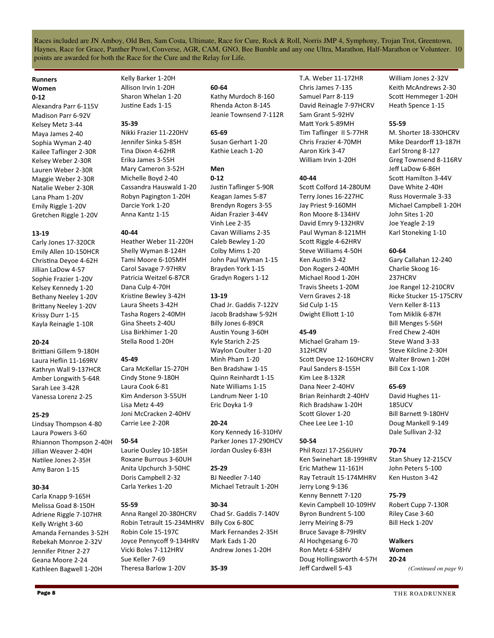Races included are JN Amboy, Old Ben, Sam Costa, Ultimate, Race for Cure, Rock & Roll, Norris JMP 4, Symphony, Trojan Trot, Greentown, Haynes, Race for Grace, Panther Prowl, Converse, AGR, CAM, GNO, Bee Bumble and any one Ultra, Marathon, Half-Marathon or Volunteer. 10 points are awarded for both the Race for the Cure and the Relay for Life.

#### Runners Women 0-12

Alexandra Parr 6-115V Madison Parr 6-92V Kelsey Metz 3-44 Maya James 2-40 Sophia Wyman 2-40 Kailee Taflinger 2-30R Kelsey Weber 2-30R Lauren Weber 2-30R Maggie Weber 2-30R Natalie Weber 2-30R Lana Pham 1-20V Emily Riggle 1-20V Gretchen Riggle 1-20V

#### 13-19

Carly Jones 17-320CR Emily Allen 10-150HCR Christina Deyoe 4-62H Jillian LaDow 4-57 Sophie Frazier 1-20V Kelsey Kennedy 1-20 Bethany Neeley 1-20V Brittany Neeley 1-20V Krissy Durr 1-15 Kayla Reinagle 1-10R

#### 20-24

Brittiani Gillem 9-180H Laura Heflin 11-169RV Kathryn Wall 9-137HCR Amber Longwith 5-64R Sarah Lee 3-42R Vanessa Lorenz 2-25

#### 25-29

Lindsay Thompson 4-80 Laura Powers 3-60 Rhiannon Thompson 2-40H Jillian Weaver 2-40H Natilee Jones 2-35H Amy Baron 1-15

#### 30-34

Carla Knapp 9-165H Melissa Goad 8-150H Adriene Riggle 7-107HR Kelly Wright 3-60 Amanda Fernandes 3-52H Rebekah Monroe 2-32V Jennifer Pitner 2-27 Geana Moore 2-24 Kathleen Bagwell 1-20H

Kelly Barker 1-20H Allison Irvin 1-20H Sharon Whelan 1-20 Justine Eads 1-15

#### 35-39

Nikki Frazier 11-220HV Jennifer Sinka 5-85H Tina Dixon 4-62HR Erika James 3-55H Mary Cameron 3-52H Michelle Boyd 2-40 Cassandra Hauswald 1-20 Robyn Pagington 1-20H Darcie York 1-20 Anna Kantz 1-15

#### 40-44

Heather Weber 11-220H Shelly Wyman 8-124H Tami Moore 6-105MH Carol Savage 7-97HRV Patricia Weitzel 6-87CR Dana Culp 4-70H Kristine Bewley 3-42H Laura Sheets 3-42H Tasha Rogers 2-40MH Gina Sheets 2-40U Lisa Birkhimer 1-20 Stella Rood 1-20H

#### 45-49

Cara McKellar 15-270H Cindy Stone 9-180H Laura Cook 6-81 Kim Anderson 3-55UH Lisa Metz 4-49 Joni McCracken 2-40HV Carrie Lee 2-20R

#### 50-54

Laurie Ousley 10-185H Roxane Burrous 3-60UH Anita Upchurch 3-50HC Doris Campbell 2-32 Carla Yerkes 1-20

#### 55-59

Anna Rangel 20-380HCRV Robin Tetrault 15-234MHRV Robin Cole 15-197C Joyce Pennycoff 9-134HRV Vicki Boles 7-112HRV Sue Keller 7-69 Theresa Barlow 1-20V

#### 60-64

Kathy Murdoch 8-160 Rhenda Acton 8-145 Jeanie Townsend 7-112R

### 65-69

Susan Gerhart 1-20 Kathie Leach 1-20

### Men

0-12 Justin Taflinger 5-90R Keagan James 5-87 Brendyn Rogers 3-55 Aidan Frazier 3-44V Vinh Lee 2-35 Cavan Williams 2-35 Caleb Bewley 1-20 Colby Mims 1-20 John Paul Wyman 1-15 Brayden York 1-15 Gradyn Rogers 1-12

#### 13-19

Chad Jr. Gaddis 7-122V Jacob Bradshaw 5-92H Billy Jones 6-89CR Austin Young 3-60H Kyle Starich 2-25 Waylon Coulter 1-20 Minh Pham 1-20 Ben Bradshaw 1-15 Quinn Reinhardt 1-15 Nate Williams 1-15 Landrum Neer 1-10 Eric Doyka 1-9

#### 20-24

Kory Kennedy 16-310HV Parker Jones 17-290HCV Jordan Ousley 6-83H

25-29 BJ Needler 7-140 Michael Tetrault 1-20H

#### 30-34

35-39

Chad Sr. Gaddis 7-140V Billy Cox 6-80C Mark Fernandes 2-35H Mark Eads 1-20 Andrew Jones 1-20H

T.A. Weber 11-172HR Chris James 7-135 Samuel Parr 8-119 David Reinagle 7-97HCRV Sam Grant 5-92HV Matt York 5-89MH Tim Taflinger II 5-77HR Chris Frazier 4-70MH Aaron Kirk 3-47 William Irvin 1-20H

#### 40-44

Scott Colford 14-280UM Terry Jones 16-227HC Jay Priest 9-160MH Ron Moore 8-134HV David Emry 9-132HRV Paul Wyman 8-121MH Scott Riggle 4-62HRV Steve Williams 4-50H Ken Austin 3-42 Don Rogers 2-40MH Michael Rood 1-20H Travis Sheets 1-20M Vern Graves 2-18 Sid Culp 1-15 Dwight Elliott 1-10

#### 45-49

Michael Graham 19- 312HCRV Scott Deyoe 12-160HCRV Paul Sanders 8-155H Kim Lee 8-132R Dana Neer 2-40HV Brian Reinhardt 2-40HV Rich Bradshaw 1-20H Scott Glover 1-20 Chee Lee Lee 1-10

### 50-54

Phil Rozzi 17-256UHV Ken Swinehart 18-199HRV Eric Mathew 11-161H Ray Tetrault 15-174MHRV Jerry Long 9-136 Kenny Bennett 7-120 Kevin Campbell 10-109HV Byron Bundrent 5-100 Jerry Meiring 8-79 Bruce Savage 8-79HRV Al Hochgesang 6-70 Ron Metz 4-58HV Doug Hollingsworth 4-57H Jeff Cardwell 5-43

William Jones 2-32V Keith McAndrews 2-30 Scott Hemmeger 1-20H Heath Spence 1-15

### 55-59

M. Shorter 18-330HCRV Mike Deardorff 13-187H Earl Strong 8-127 Greg Townsend 8-116RV Jeff LaDow 6-86H Scott Hamilton 3-44V Dave White 2-40H Russ Hovermale 3-33 Michael Campbell 1-20H John Sites 1-20 Joe Yeagle 2-19 Karl Stoneking 1-10

#### 60-64

Gary Callahan 12-240 Charlie Skoog 16- 237HCRV Joe Rangel 12-210CRV Ricke Stucker 15-175CRV Vern Keller 8-113 Tom Miklik 6-87H Bill Menges 5-56H Fred Chew 2-40H Steve Wand 3-33 Steve Kilcline 2-30H Walter Brown 1-20H Bill Cox 1-10R

#### 65-69

David Hughes 11- 185UCV Bill Barnett 9-180HV Doug Mankell 9-149 Dale Sullivan 2-32

### 70-74

Stan Shuey 12-215CV John Peters 5-100 Ken Huston 3-42

#### 75-79

Robert Cupp 7-130R Riley Case 3-60 Bill Heck 1-20V

#### Walkers Women 20-24

*(Continued on page 9)*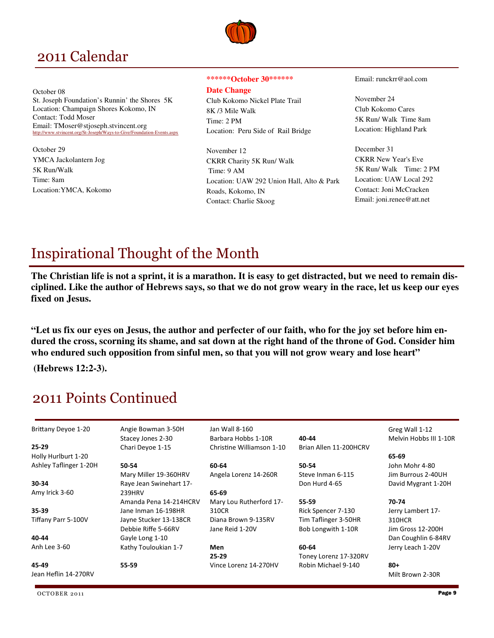## 2011 Calendar

October 08 St. Joseph Foundation's Runnin' the Shores 5K Location: Champaign Shores Kokomo, IN Contact: Todd Moser Email: TMoser@stjoseph.stvincent.org http://www.stvincent.org/St-Joseph/Ways-to-Give/Foundation-Events.aspx

October 29 YMCA Jackolantern Jog 5K Run/Walk Time: 8am Location:YMCA, Kokomo

#### **\*\*\*\*\*\*October 30\*\*\*\*\*\***

**Date Change** 

Club Kokomo Nickel Plate Trail 8K /3 Mile Walk Time: 2 PM Location: Peru Side of Rail Bridge

November 12 CKRR Charity 5K Run/ Walk Time: 9 AM Location: UAW 292 Union Hall, Alto & Park Roads, Kokomo, IN Contact: Charlie Skoog

Email: runckrr@aol.com

November 24 Club Kokomo Cares 5K Run/ Walk Time 8am Location: Highland Park

December 31 CKRR New Year's Eve 5K Run/ Walk Time: 2 PM Location: UAW Local 292 Contact: Joni McCracken Email: joni.renee@att.net

# Inspirational Thought of the Month

**The Christian life is not a sprint, it is a marathon. It is easy to get distracted, but we need to remain disciplined. Like the author of Hebrews says, so that we do not grow weary in the race, let us keep our eyes fixed on Jesus.** 

**"Let us fix our eyes on Jesus, the author and perfecter of our faith, who for the joy set before him endured the cross, scorning its shame, and sat down at the right hand of the throne of God. Consider him who endured such opposition from sinful men, so that you will not grow weary and lose heart"** 

 **(Hebrews 12:2-3).** 

# 2011 Points Continued

| Brittany Deyoe 1-20    | Angie Bowman 3-50H      | Jan Wall 8-160            |                        | Greg Wall 1-12         |
|------------------------|-------------------------|---------------------------|------------------------|------------------------|
|                        | Stacey Jones 2-30       | Barbara Hobbs 1-10R       | 40-44                  | Melvin Hobbs III 1-10R |
| $25 - 29$              | Chari Devoe 1-15        | Christine Williamson 1-10 | Brian Allen 11-200HCRV |                        |
| Holly Hurlburt 1-20    |                         |                           |                        | 65-69                  |
| Ashley Taflinger 1-20H | 50-54                   | 60-64                     | 50-54                  | John Mohr 4-80         |
|                        | Mary Miller 19-360HRV   | Angela Lorenz 14-260R     | Steve Inman 6-115      | Jim Burrous 2-40UH     |
| 30-34                  | Raye Jean Swinehart 17- |                           | Don Hurd 4-65          | David Mygrant 1-20H    |
| Amy Irick 3-60         | 239HRV                  | 65-69                     |                        |                        |
|                        | Amanda Pena 14-214HCRV  | Mary Lou Rutherford 17-   | 55-59                  | 70-74                  |
| 35-39                  | Jane Inman 16-198HR     | 310CR                     | Rick Spencer 7-130     | Jerry Lambert 17-      |
| Tiffany Parr 5-100V    | Jayne Stucker 13-138CR  | Diana Brown 9-135RV       | Tim Taflinger 3-50HR   | 310HCR                 |
|                        | Debbie Riffe 5-66RV     | Jane Reid 1-20V           | Bob Longwith 1-10R     | Jim Gross 12-200H      |
| 40-44                  | Gayle Long 1-10         |                           |                        | Dan Coughlin 6-84RV    |
| Anh Lee 3-60           | Kathy Touloukian 1-7    | Men                       | 60-64                  | Jerry Leach 1-20V      |
|                        |                         | $25 - 29$                 | Toney Lorenz 17-320RV  |                        |
| 45-49                  | 55-59                   | Vince Lorenz 14-270HV     | Robin Michael 9-140    | $80+$                  |
| Jean Heflin 14-270RV   |                         |                           |                        | Milt Brown 2-30R       |